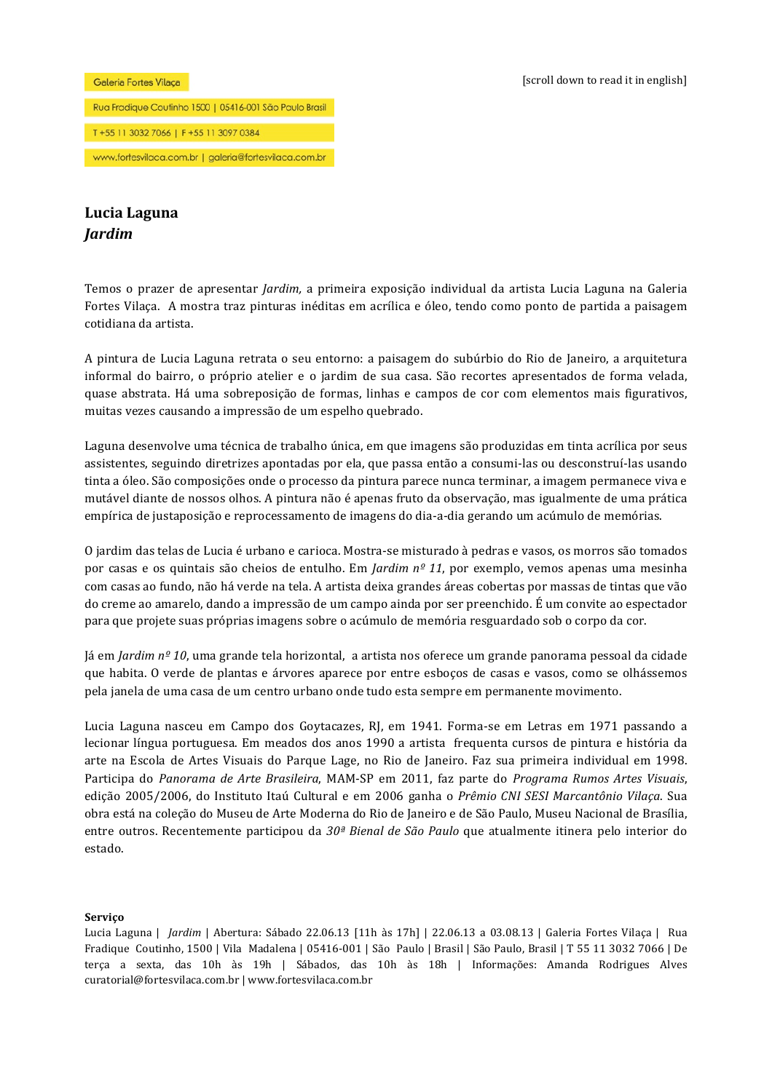#### Galeria Fortes Vilaça

# Rua Fradique Coutinho 1500 | 05416-001 São Paulo Brasil T+55 11 3032 7066 | F+55 11 3097 0384 www.fortesvilaca.com.br | galeria@fortesvilaca.com.br

## **Lucia!Laguna** *Jardim*

Temos o prazer de apresentar *Jardim*, a primeira exposição individual da artista Lucia Laguna na Galeria Fortes Vilaça. A mostra traz pinturas inéditas em acrílica e óleo, tendo como ponto de partida a paisagem cotidiana da artista.

A pintura de Lucia Laguna retrata o seu entorno: a paisagem do subúrbio do Rio de Janeiro, a arquitetura informal do bairro, o próprio atelier e o jardim de sua casa. São recortes apresentados de forma velada, quase abstrata. Há uma sobreposição de formas, linhas e campos de cor com elementos mais figurativos, muitas vezes causando a impressão de um espelho quebrado.

Laguna desenvolve uma técnica de trabalho única, em que imagens são produzidas em tinta acrílica por seus assistentes, seguindo diretrizes apontadas por ela, que passa então a consumi-las ou desconstruí-las usando tinta a óleo. São composições onde o processo da pintura parece nunca terminar, a imagem permanece viva e mutável diante de nossos olhos. A pintura não é apenas fruto da observação, mas igualmente de uma prática empírica de justaposição e reprocessamento de imagens do dia-a-dia gerando um acúmulo de memórias.

O jardim das telas de Lucia é urbano e carioca. Mostra-se misturado à pedras e vasos, os morros são tomados por casas e os quintais são cheios de entulho. Em *Jardim nº 11*, por exemplo, vemos apenas uma mesinha com casas ao fundo, não há verde na tela. A artista deixa grandes áreas cobertas por massas de tintas que vão do creme ao amarelo, dando a impressão de um campo ainda por ser preenchido. É um convite ao espectador para que projete suas próprias imagens sobre o acúmulo de memória resguardado sob o corpo da cor.

Já em *Jardim nº 10*, uma grande tela horizontal, a artista nos oferece um grande panorama pessoal da cidade que habita. O verde de plantas e árvores aparece por entre esboços de casas e vasos, como se olhássemos pela janela de uma casa de um centro urbano onde tudo esta sempre em permanente movimento.

Lucia Laguna nasceu em Campo dos Goytacazes, RJ, em 1941. Forma-se em Letras em 1971 passando a lecionar língua portuguesa. Em meados dos anos 1990 a artista frequenta cursos de pintura e história da arte na Escola de Artes Visuais do Parque Lage, no Rio de Janeiro. Faz sua primeira individual em 1998. Participa do *Panorama de Arte Brasileira*, MAM-SP em 2011, faz parte do *Programa Rumos Artes Visuais*, edição 2005/2006, do Instituto Itaú Cultural e em 2006 ganha o *Prêmio CNI SESI Marcantônio Vilaça*. Sua obra está na coleção do Museu de Arte Moderna do Rio de Janeiro e de São Paulo, Museu Nacional de Brasília, entre outros. Recentemente participou da 30<sup>ª</sup> Bienal de São Paulo que atualmente itinera pelo interior do estado.

#### **Serviço**

Lucia Laguna | *Jardim* | Abertura: Sábado 22.06.13 [11h às 17h] | 22.06.13 a 03.08.13 | Galeria Fortes Vilaca | Rua Fradique Coutinho, 1500 | Vila Madalena | 05416-001 | São Paulo | Brasil | São Paulo, Brasil | T 55 11 3032 7066 | De terça a sexta, das 10h às 19h | Sábados, das 10h às 18h | Informações: Amanda Rodrigues Alves curatorial@fortesvilaca.com.br | www.fortesvilaca.com.br